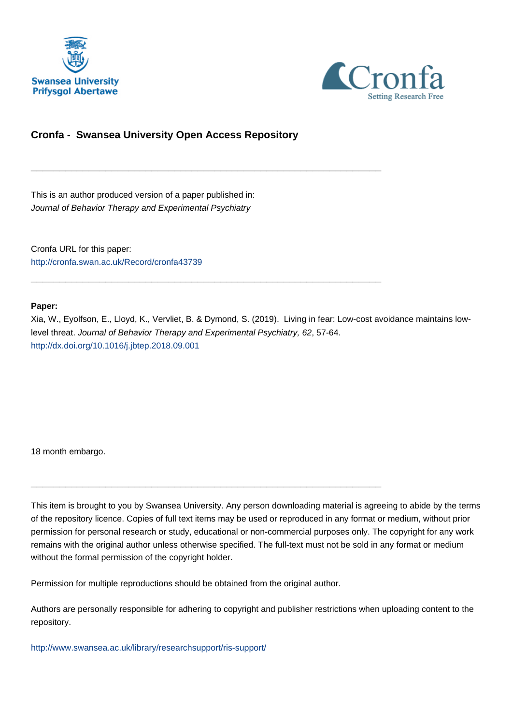



# **Cronfa - Swansea University Open Access Repository**

\_\_\_\_\_\_\_\_\_\_\_\_\_\_\_\_\_\_\_\_\_\_\_\_\_\_\_\_\_\_\_\_\_\_\_\_\_\_\_\_\_\_\_\_\_\_\_\_\_\_\_\_\_\_\_\_\_\_\_\_\_

\_\_\_\_\_\_\_\_\_\_\_\_\_\_\_\_\_\_\_\_\_\_\_\_\_\_\_\_\_\_\_\_\_\_\_\_\_\_\_\_\_\_\_\_\_\_\_\_\_\_\_\_\_\_\_\_\_\_\_\_\_

This is an author produced version of a paper published in: Journal of Behavior Therapy and Experimental Psychiatry

Cronfa URL for this paper: <http://cronfa.swan.ac.uk/Record/cronfa43739>

#### **Paper:**

Xia, W., Eyolfson, E., Lloyd, K., Vervliet, B. & Dymond, S. (2019). Living in fear: Low-cost avoidance maintains lowlevel threat. Journal of Behavior Therapy and Experimental Psychiatry, 62, 57-64. <http://dx.doi.org/10.1016/j.jbtep.2018.09.001>

18 month embargo.

This item is brought to you by Swansea University. Any person downloading material is agreeing to abide by the terms of the repository licence. Copies of full text items may be used or reproduced in any format or medium, without prior permission for personal research or study, educational or non-commercial purposes only. The copyright for any work remains with the original author unless otherwise specified. The full-text must not be sold in any format or medium without the formal permission of the copyright holder.

Permission for multiple reproductions should be obtained from the original author.

\_\_\_\_\_\_\_\_\_\_\_\_\_\_\_\_\_\_\_\_\_\_\_\_\_\_\_\_\_\_\_\_\_\_\_\_\_\_\_\_\_\_\_\_\_\_\_\_\_\_\_\_\_\_\_\_\_\_\_\_\_

Authors are personally responsible for adhering to copyright and publisher restrictions when uploading content to the repository.

[http://www.swansea.ac.uk/library/researchsupport/ris-support/](http://www.swansea.ac.uk/library/researchsupport/ris-support/ )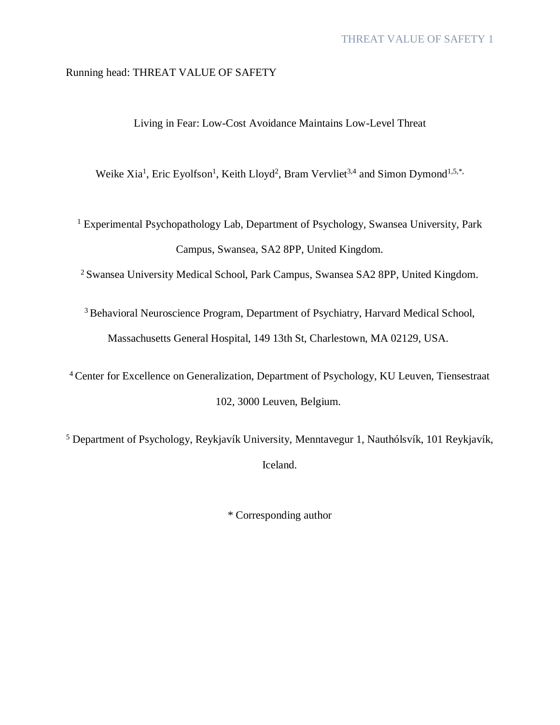# Running head: THREAT VALUE OF SAFETY

Living in Fear: Low-Cost Avoidance Maintains Low-Level Threat

Weike Xia<sup>1</sup>, Eric Eyolfson<sup>1</sup>, Keith Lloyd<sup>2</sup>, Bram Vervliet<sup>3,4</sup> and Simon Dymond<sup>1,5,\*</sup>

<sup>1</sup> Experimental Psychopathology Lab, Department of Psychology, Swansea University, Park Campus, Swansea, SA2 8PP, United Kingdom.

<sup>2</sup>Swansea University Medical School, Park Campus, Swansea SA2 8PP, United Kingdom.

<sup>3</sup> Behavioral Neuroscience Program, Department of Psychiatry, Harvard Medical School, Massachusetts General Hospital, 149 13th St, Charlestown, MA 02129, USA.

<sup>4</sup>Center for Excellence on Generalization, Department of Psychology, KU Leuven, Tiensestraat 102, 3000 Leuven, Belgium.

<sup>5</sup> Department of Psychology, Reykjavík University, Menntavegur 1, Nauthólsvík, 101 Reykjavík, Iceland.

\* Corresponding author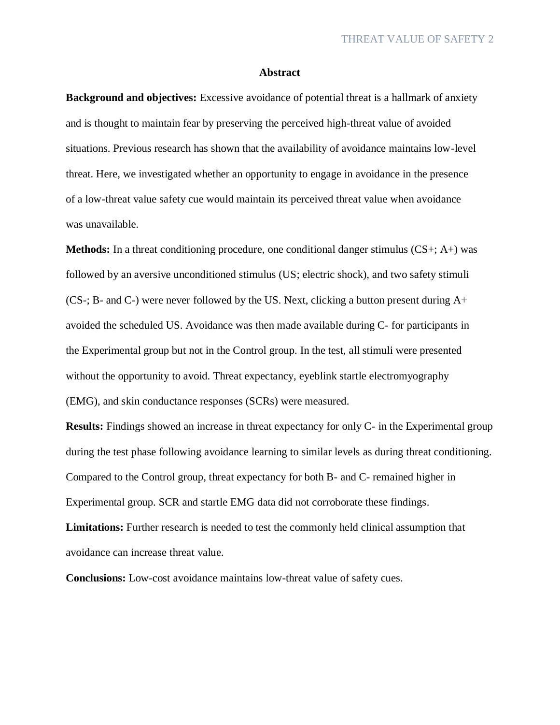#### **Abstract**

**Background and objectives:** Excessive avoidance of potential threat is a hallmark of anxiety and is thought to maintain fear by preserving the perceived high-threat value of avoided situations. Previous research has shown that the availability of avoidance maintains low-level threat. Here, we investigated whether an opportunity to engage in avoidance in the presence of a low-threat value safety cue would maintain its perceived threat value when avoidance was unavailable.

**Methods:** In a threat conditioning procedure, one conditional danger stimulus (CS+; A+) was followed by an aversive unconditioned stimulus (US; electric shock), and two safety stimuli (CS-; B- and C-) were never followed by the US. Next, clicking a button present during A+ avoided the scheduled US. Avoidance was then made available during C- for participants in the Experimental group but not in the Control group. In the test, all stimuli were presented without the opportunity to avoid. Threat expectancy, eyeblink startle electromyography (EMG), and skin conductance responses (SCRs) were measured.

**Results:** Findings showed an increase in threat expectancy for only C- in the Experimental group during the test phase following avoidance learning to similar levels as during threat conditioning. Compared to the Control group, threat expectancy for both B- and C- remained higher in Experimental group. SCR and startle EMG data did not corroborate these findings. **Limitations:** Further research is needed to test the commonly held clinical assumption that avoidance can increase threat value.

**Conclusions:** Low-cost avoidance maintains low-threat value of safety cues.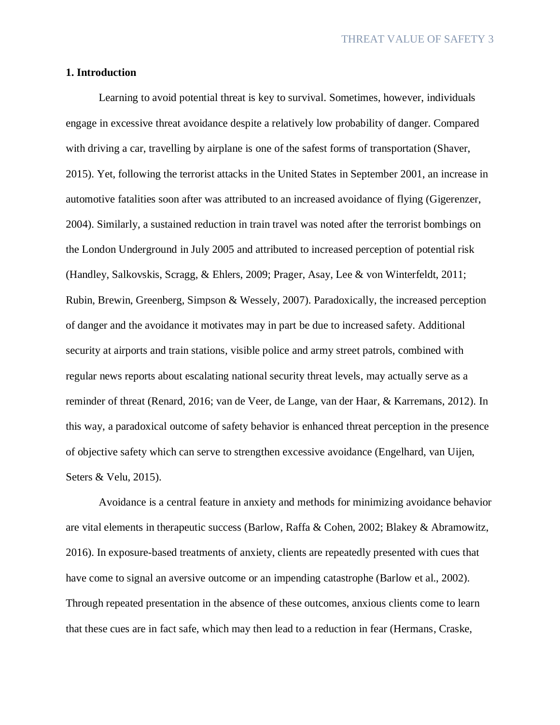# **1. Introduction**

Learning to avoid potential threat is key to survival. Sometimes, however, individuals engage in excessive threat avoidance despite a relatively low probability of danger. Compared with driving a car, travelling by airplane is one of the safest forms of transportation (Shaver, 2015). Yet, following the terrorist attacks in the United States in September 2001, an increase in automotive fatalities soon after was attributed to an increased avoidance of flying (Gigerenzer, 2004). Similarly, a sustained reduction in train travel was noted after the terrorist bombings on the London Underground in July 2005 and attributed to increased perception of potential risk (Handley, Salkovskis, Scragg, & Ehlers, 2009; Prager, Asay, Lee & von Winterfeldt, 2011; Rubin, Brewin, Greenberg, Simpson & Wessely, 2007). Paradoxically, the increased perception of danger and the avoidance it motivates may in part be due to increased safety. Additional security at airports and train stations, visible police and army street patrols, combined with regular news reports about escalating national security threat levels, may actually serve as a reminder of threat (Renard, 2016; van de Veer, de Lange, van der Haar, & Karremans, 2012). In this way, a paradoxical outcome of safety behavior is enhanced threat perception in the presence of objective safety which can serve to strengthen excessive avoidance (Engelhard, van Uijen, Seters & Velu, 2015).

Avoidance is a central feature in anxiety and methods for minimizing avoidance behavior are vital elements in therapeutic success (Barlow, Raffa & Cohen, 2002; Blakey & Abramowitz, 2016). In exposure-based treatments of anxiety, clients are repeatedly presented with cues that have come to signal an aversive outcome or an impending catastrophe (Barlow et al., 2002). Through repeated presentation in the absence of these outcomes, anxious clients come to learn that these cues are in fact safe, which may then lead to a reduction in fear (Hermans, Craske,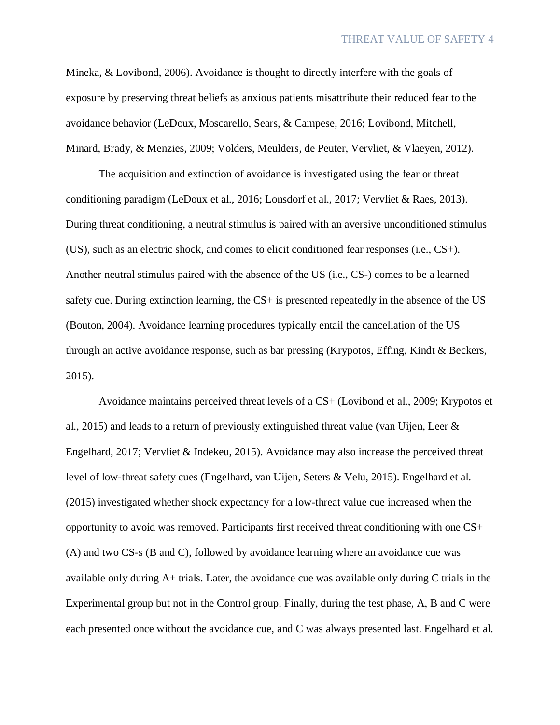Mineka, & Lovibond, 2006). Avoidance is thought to directly interfere with the goals of exposure by preserving threat beliefs as anxious patients misattribute their reduced fear to the avoidance behavior (LeDoux, Moscarello, Sears, & Campese, 2016; Lovibond, Mitchell, Minard, Brady, & Menzies, 2009; Volders, Meulders, de Peuter, Vervliet, & Vlaeyen, 2012).

The acquisition and extinction of avoidance is investigated using the fear or threat conditioning paradigm (LeDoux et al., 2016; Lonsdorf et al., 2017; Vervliet & Raes, 2013). During threat conditioning, a neutral stimulus is paired with an aversive unconditioned stimulus (US), such as an electric shock, and comes to elicit conditioned fear responses (i.e., CS+). Another neutral stimulus paired with the absence of the US (i.e., CS-) comes to be a learned safety cue. During extinction learning, the CS+ is presented repeatedly in the absence of the US (Bouton, 2004). Avoidance learning procedures typically entail the cancellation of the US through an active avoidance response, such as bar pressing (Krypotos, Effing, Kindt & Beckers, 2015).

Avoidance maintains perceived threat levels of a CS+ (Lovibond et al., 2009; Krypotos et al., 2015) and leads to a return of previously extinguished threat value (van Uijen, Leer & Engelhard, 2017; Vervliet & Indekeu, 2015). Avoidance may also increase the perceived threat level of low-threat safety cues (Engelhard, van Uijen, Seters & Velu, 2015). Engelhard et al. (2015) investigated whether shock expectancy for a low-threat value cue increased when the opportunity to avoid was removed. Participants first received threat conditioning with one CS+ (A) and two CS-s (B and C), followed by avoidance learning where an avoidance cue was available only during A+ trials. Later, the avoidance cue was available only during C trials in the Experimental group but not in the Control group. Finally, during the test phase, A, B and C were each presented once without the avoidance cue, and C was always presented last. Engelhard et al.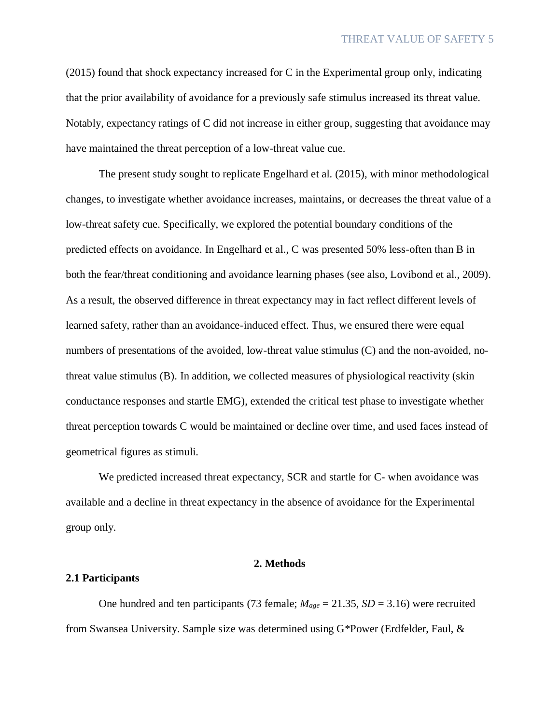(2015) found that shock expectancy increased for C in the Experimental group only, indicating that the prior availability of avoidance for a previously safe stimulus increased its threat value. Notably, expectancy ratings of C did not increase in either group, suggesting that avoidance may have maintained the threat perception of a low-threat value cue.

The present study sought to replicate Engelhard et al. (2015), with minor methodological changes, to investigate whether avoidance increases, maintains, or decreases the threat value of a low-threat safety cue. Specifically, we explored the potential boundary conditions of the predicted effects on avoidance. In Engelhard et al., C was presented 50% less-often than B in both the fear/threat conditioning and avoidance learning phases (see also, Lovibond et al., 2009). As a result, the observed difference in threat expectancy may in fact reflect different levels of learned safety, rather than an avoidance-induced effect. Thus, we ensured there were equal numbers of presentations of the avoided, low-threat value stimulus (C) and the non-avoided, nothreat value stimulus (B). In addition, we collected measures of physiological reactivity (skin conductance responses and startle EMG), extended the critical test phase to investigate whether threat perception towards C would be maintained or decline over time, and used faces instead of geometrical figures as stimuli.

We predicted increased threat expectancy, SCR and startle for C- when avoidance was available and a decline in threat expectancy in the absence of avoidance for the Experimental group only.

#### **2. Methods**

# **2.1 Participants**

One hundred and ten participants (73 female; *Mage* = 21.35, *SD* = 3.16) were recruited from Swansea University. Sample size was determined using G\*Power (Erdfelder, Faul, &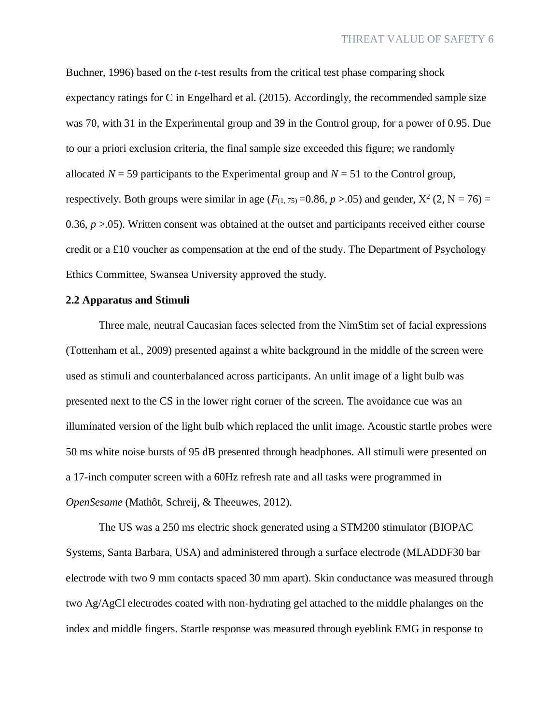Buchner, 1996) based on the *t*-test results from the critical test phase comparing shock expectancy ratings for C in Engelhard et al. (2015). Accordingly, the recommended sample size was 70, with 31 in the Experimental group and 39 in the Control group, for a power of 0.95. Due to our a priori exclusion criteria, the final sample size exceeded this figure; we randomly allocated  $N = 59$  participants to the Experimental group and  $N = 51$  to the Control group, respectively. Both groups were similar in age  $(F_{(1, 75)} = 0.86, p > .05)$  and gender,  $X^2$  (2, N = 76) = 0.36,  $p > 0.05$ ). Written consent was obtained at the outset and participants received either course credit or a £10 voucher as compensation at the end of the study. The Department of Psychology Ethics Committee, Swansea University approved the study.

# **2.2 Apparatus and Stimuli**

Three male, neutral Caucasian faces selected from the NimStim set of facial expressions (Tottenham et al., 2009) presented against a white background in the middle of the screen were used as stimuli and counterbalanced across participants. An unlit image of a light bulb was presented next to the CS in the lower right corner of the screen. The avoidance cue was an illuminated version of the light bulb which replaced the unlit image. Acoustic startle probes were 50 ms white noise bursts of 95 dB presented through headphones. All stimuli were presented on a 17-inch computer screen with a 60Hz refresh rate and all tasks were programmed in *OpenSesame* (Mathôt, Schreij, & Theeuwes, 2012).

The US was a 250 ms electric shock generated using a STM200 stimulator (BIOPAC Systems, Santa Barbara, USA) and administered through a surface electrode (MLADDF30 bar electrode with two 9 mm contacts spaced 30 mm apart). Skin conductance was measured through two Ag/AgCl electrodes coated with non-hydrating gel attached to the middle phalanges on the index and middle fingers. Startle response was measured through eyeblink EMG in response to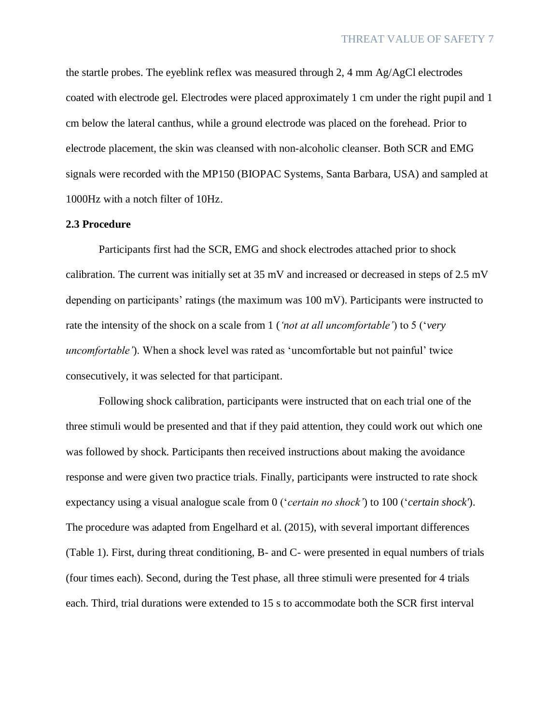the startle probes. The eyeblink reflex was measured through 2, 4 mm  $Ag/AgCl$  electrodes coated with electrode gel. Electrodes were placed approximately 1 cm under the right pupil and 1 cm below the lateral canthus, while a ground electrode was placed on the forehead. Prior to electrode placement, the skin was cleansed with non-alcoholic cleanser. Both SCR and EMG signals were recorded with the MP150 (BIOPAC Systems, Santa Barbara, USA) and sampled at 1000Hz with a notch filter of 10Hz.

#### **2.3 Procedure**

Participants first had the SCR, EMG and shock electrodes attached prior to shock calibration. The current was initially set at 35 mV and increased or decreased in steps of 2.5 mV depending on participants' ratings (the maximum was 100 mV). Participants were instructed to rate the intensity of the shock on a scale from 1 (*'not at all uncomfortable'*) to 5 ('*very uncomfortable'*). When a shock level was rated as 'uncomfortable but not painful' twice consecutively, it was selected for that participant.

Following shock calibration, participants were instructed that on each trial one of the three stimuli would be presented and that if they paid attention, they could work out which one was followed by shock. Participants then received instructions about making the avoidance response and were given two practice trials. Finally, participants were instructed to rate shock expectancy using a visual analogue scale from 0 ('*certain no shock'*) to 100 ('*certain shock'*). The procedure was adapted from Engelhard et al. (2015), with several important differences (Table 1). First, during threat conditioning, B- and C- were presented in equal numbers of trials (four times each). Second, during the Test phase, all three stimuli were presented for 4 trials each. Third, trial durations were extended to 15 s to accommodate both the SCR first interval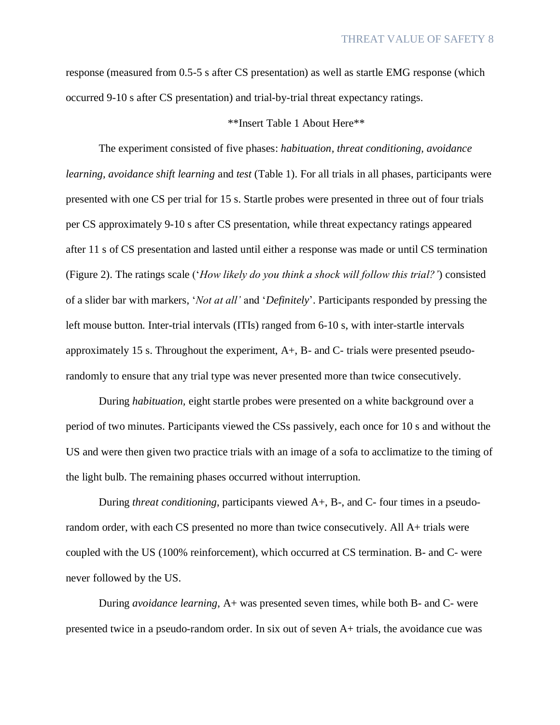response (measured from 0.5-5 s after CS presentation) as well as startle EMG response (which occurred 9-10 s after CS presentation) and trial-by-trial threat expectancy ratings.

# \*\*Insert Table 1 About Here\*\*

The experiment consisted of five phases: *habituation, threat conditioning, avoidance learning, avoidance shift learning* and *test* (Table 1). For all trials in all phases, participants were presented with one CS per trial for 15 s. Startle probes were presented in three out of four trials per CS approximately 9-10 s after CS presentation, while threat expectancy ratings appeared after 11 s of CS presentation and lasted until either a response was made or until CS termination (Figure 2). The ratings scale ('*How likely do you think a shock will follow this trial?'*) consisted of a slider bar with markers, '*Not at all'* and '*Definitely*'. Participants responded by pressing the left mouse button. Inter-trial intervals (ITIs) ranged from 6-10 s, with inter-startle intervals approximately 15 s. Throughout the experiment,  $A_{+}$ ,  $B_{-}$  and  $C_{-}$  trials were presented pseudorandomly to ensure that any trial type was never presented more than twice consecutively.

During *habituation,* eight startle probes were presented on a white background over a period of two minutes. Participants viewed the CSs passively, each once for 10 s and without the US and were then given two practice trials with an image of a sofa to acclimatize to the timing of the light bulb. The remaining phases occurred without interruption.

During *threat conditioning*, participants viewed A+, B-, and C- four times in a pseudorandom order, with each CS presented no more than twice consecutively. All A+ trials were coupled with the US (100% reinforcement), which occurred at CS termination. B- and C- were never followed by the US.

During *avoidance learning*, A+ was presented seven times, while both B- and C- were presented twice in a pseudo-random order. In six out of seven A+ trials, the avoidance cue was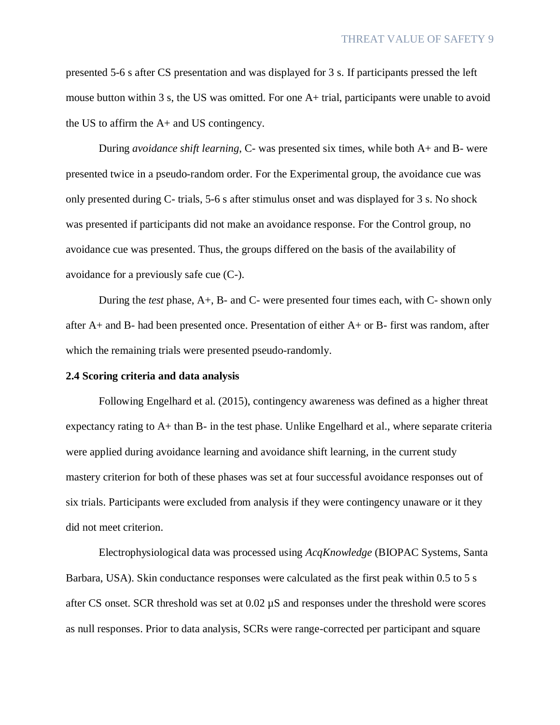presented 5-6 s after CS presentation and was displayed for 3 s. If participants pressed the left mouse button within 3 s, the US was omitted. For one A+ trial, participants were unable to avoid the US to affirm the A+ and US contingency.

During *avoidance shift learning*, C- was presented six times, while both A+ and B- were presented twice in a pseudo-random order. For the Experimental group, the avoidance cue was only presented during C- trials, 5-6 s after stimulus onset and was displayed for 3 s. No shock was presented if participants did not make an avoidance response. For the Control group, no avoidance cue was presented. Thus, the groups differed on the basis of the availability of avoidance for a previously safe cue (C-).

During the *test* phase, A+, B- and C- were presented four times each, with C- shown only after A+ and B- had been presented once. Presentation of either A+ or B- first was random, after which the remaining trials were presented pseudo-randomly.

#### **2.4 Scoring criteria and data analysis**

Following Engelhard et al. (2015), contingency awareness was defined as a higher threat expectancy rating to A+ than B- in the test phase. Unlike Engelhard et al., where separate criteria were applied during avoidance learning and avoidance shift learning, in the current study mastery criterion for both of these phases was set at four successful avoidance responses out of six trials. Participants were excluded from analysis if they were contingency unaware or it they did not meet criterion.

Electrophysiological data was processed using *AcqKnowledge* (BIOPAC Systems, Santa Barbara, USA). Skin conductance responses were calculated as the first peak within 0.5 to 5 s after CS onset. SCR threshold was set at 0.02 µS and responses under the threshold were scores as null responses. Prior to data analysis, SCRs were range-corrected per participant and square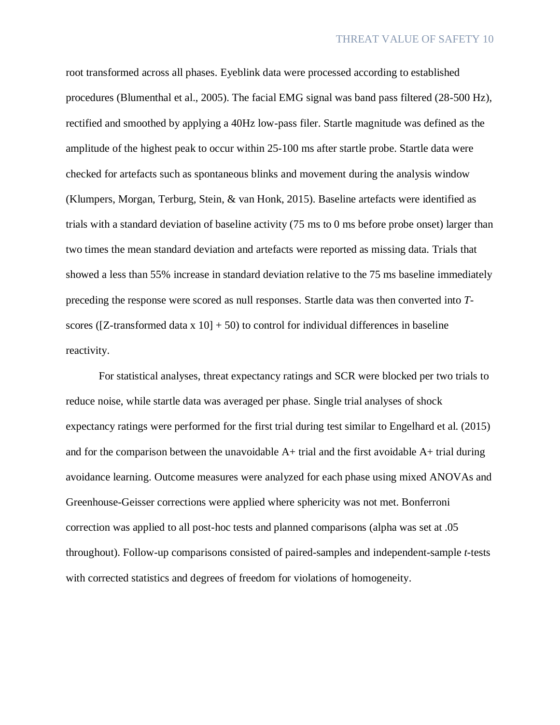root transformed across all phases. Eyeblink data were processed according to established procedures (Blumenthal et al., 2005). The facial EMG signal was band pass filtered (28-500 Hz), rectified and smoothed by applying a 40Hz low-pass filer. Startle magnitude was defined as the amplitude of the highest peak to occur within 25-100 ms after startle probe. Startle data were checked for artefacts such as spontaneous blinks and movement during the analysis window (Klumpers, Morgan, Terburg, Stein, & van Honk, 2015). Baseline artefacts were identified as trials with a standard deviation of baseline activity (75 ms to 0 ms before probe onset) larger than two times the mean standard deviation and artefacts were reported as missing data. Trials that showed a less than 55% increase in standard deviation relative to the 75 ms baseline immediately preceding the response were scored as null responses. Startle data was then converted into *T*scores ( $[Z$ -transformed data x  $10] + 50$ ) to control for individual differences in baseline reactivity.

For statistical analyses, threat expectancy ratings and SCR were blocked per two trials to reduce noise, while startle data was averaged per phase. Single trial analyses of shock expectancy ratings were performed for the first trial during test similar to Engelhard et al. (2015) and for the comparison between the unavoidable  $A+$  trial and the first avoidable  $A+$  trial during avoidance learning. Outcome measures were analyzed for each phase using mixed ANOVAs and Greenhouse-Geisser corrections were applied where sphericity was not met. Bonferroni correction was applied to all post-hoc tests and planned comparisons (alpha was set at .05 throughout). Follow-up comparisons consisted of paired-samples and independent-sample *t*-tests with corrected statistics and degrees of freedom for violations of homogeneity.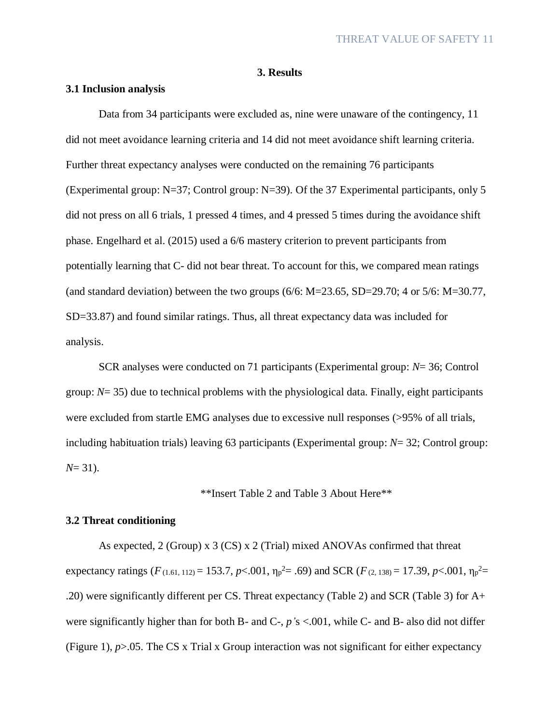# **3. Results**

## **3.1 Inclusion analysis**

Data from 34 participants were excluded as, nine were unaware of the contingency, 11 did not meet avoidance learning criteria and 14 did not meet avoidance shift learning criteria. Further threat expectancy analyses were conducted on the remaining 76 participants (Experimental group: N=37; Control group: N=39). Of the 37 Experimental participants, only 5 did not press on all 6 trials, 1 pressed 4 times, and 4 pressed 5 times during the avoidance shift phase. Engelhard et al. (2015) used a 6/6 mastery criterion to prevent participants from potentially learning that C- did not bear threat. To account for this, we compared mean ratings (and standard deviation) between the two groups  $(6/6: M=23.65, SD=29.70; 4 \text{ or } 5/6: M=30.77,$ SD=33.87) and found similar ratings. Thus, all threat expectancy data was included for analysis.

SCR analyses were conducted on 71 participants (Experimental group: *N*= 36; Control group: *N*= 35) due to technical problems with the physiological data. Finally, eight participants were excluded from startle EMG analyses due to excessive null responses (>95% of all trials, including habituation trials) leaving 63 participants (Experimental group: *N*= 32; Control group: *N*= 31).

\*\*Insert Table 2 and Table 3 About Here\*\*

# **3.2 Threat conditioning**

As expected, 2 (Group) x 3 (CS) x 2 (Trial) mixed ANOVAs confirmed that threat expectancy ratings ( $F_{(1.61, 112)} = 153.7, p < .001, \eta_p^2 = .69$ ) and SCR ( $F_{(2.138)} = 17.39, p < .001, \eta_p^2 = .001$ .20) were significantly different per CS. Threat expectancy (Table 2) and SCR (Table 3) for A+ were significantly higher than for both B- and C-, *p'*s <.001, while C- and B- also did not differ (Figure 1), *p*>.05. The CS x Trial x Group interaction was not significant for either expectancy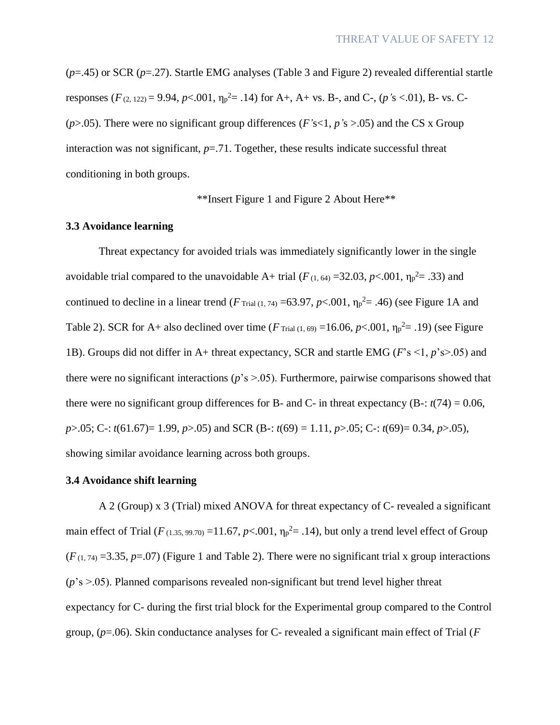(*p*=.45) or SCR (*p*=.27). Startle EMG analyses (Table 3 and Figure 2) revealed differential startle responses  $(F_{(2, 122)} = 9.94, p<0.001, \eta_p^2 = .14)$  for A+, A+ vs. B-, and C-,  $(p's < 0.01)$ , B- vs. C-(*p*>.05). There were no significant group differences (*F'*s<1, *p'*s >.05) and the CS x Group interaction was not significant,  $p = .71$ . Together, these results indicate successful threat conditioning in both groups.

\*\*Insert Figure 1 and Figure 2 About Here\*\*

### **3.3 Avoidance learning**

Threat expectancy for avoided trials was immediately significantly lower in the single avoidable trial compared to the unavoidable A+ trial  $(F_{(1, 64)} = 32.03, p < .001, \eta_p^2 = .33)$  and continued to decline in a linear trend ( $F_{\text{trial}(1, 74)} = 63.97$ ,  $p < .001$ ,  $\eta_p^2 = .46$ ) (see Figure 1A and Table 2). SCR for A+ also declined over time ( $F$ <sub>Trial (1, 69)</sub> =16.06,  $p$ <.001,  $\eta_p^2$ = .19) (see Figure 1B). Groups did not differ in A+ threat expectancy, SCR and startle EMG (*F*'s <1, *p*'s>.05) and there were no significant interactions (*p*'s >.05). Furthermore, pairwise comparisons showed that there were no significant group differences for B- and C- in threat expectancy  $(B - : t(74) = 0.06$ , *p*>.05; C-: *t*(61.67)= 1.99, *p*>.05) and SCR (B-: *t*(69) = 1.11, *p*>.05; C-: *t*(69)= 0.34, *p*>.05), showing similar avoidance learning across both groups.

# **3.4 Avoidance shift learning**

A 2 (Group) x 3 (Trial) mixed ANOVA for threat expectancy of C- revealed a significant main effect of Trial ( $F$  (1.35, 99.70) = 11.67,  $p$ <.001,  $\eta_p^2$  = .14), but only a trend level effect of Group  $(F_{(1, 74)} = 3.35, p = .07)$  (Figure 1 and Table 2). There were no significant trial x group interactions  $(p's > .05)$ . Planned comparisons revealed non-significant but trend level higher threat expectancy for C- during the first trial block for the Experimental group compared to the Control group, (*p*=.06). Skin conductance analyses for C- revealed a significant main effect of Trial (*F*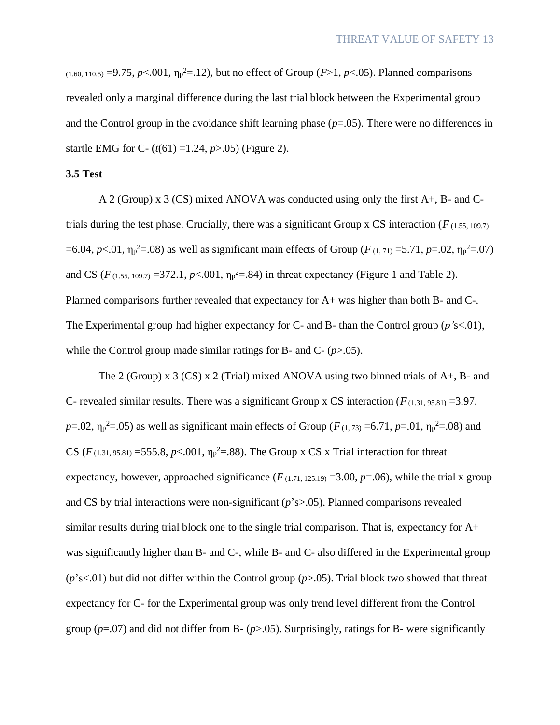$(1.60, 110.5) = 9.75, p < .001, \eta_p^2 = .12$ , but no effect of Group (*F*>1, *p*<.05). Planned comparisons revealed only a marginal difference during the last trial block between the Experimental group and the Control group in the avoidance shift learning phase (*p*=.05). There were no differences in startle EMG for C- (*t*(61) =1.24, *p*>.05) (Figure 2).

# **3.5 Test**

A 2 (Group) x 3 (CS) mixed ANOVA was conducted using only the first A+, B- and Ctrials during the test phase. Crucially, there was a significant Group x CS interaction ( $F_{(1.55, 109.7)}$ ) =6.04, *p*<.01,  $η<sub>p</sub><sup>2</sup> = .08$ ) as well as significant main effects of Group (*F* (1, 71) = 5.71, *p*=.02,  $η<sub>p</sub><sup>2</sup> = .07$ ) and CS ( $F_{(1.55, 109.7)} = 372.1, p < .001, \eta_p^2 = .84$ ) in threat expectancy (Figure 1 and Table 2). Planned comparisons further revealed that expectancy for A+ was higher than both B- and C-. The Experimental group had higher expectancy for C- and B- than the Control group (*p'*s<.01), while the Control group made similar ratings for B- and C- (*p*>.05).

The 2 (Group) x 3 (CS) x 2 (Trial) mixed ANOVA using two binned trials of  $A_+$ , B- and C- revealed similar results. There was a significant Group x CS interaction  $(F_{(1,31, 95.81)} = 3.97$ , *p*=.02,  $\eta_p^2$ =.05) as well as significant main effects of Group (*F*(1, 73) =6.71, *p*=.01,  $\eta_p^2$ =.08) and CS ( $F_{(1,31, 95.81)} = 555.8, p < .001, \eta_p^2 = .88$ ). The Group x CS x Trial interaction for threat expectancy, however, approached significance  $(F_{(1.71, 125.19)} = 3.00, p = .06)$ , while the trial x group and CS by trial interactions were non-significant (*p*'s>.05). Planned comparisons revealed similar results during trial block one to the single trial comparison. That is, expectancy for A+ was significantly higher than B- and C-, while B- and C- also differed in the Experimental group (*p*'s<.01) but did not differ within the Control group (*p*>.05). Trial block two showed that threat expectancy for C- for the Experimental group was only trend level different from the Control group ( $p=0$ ) and did not differ from B- ( $p>0$ ). Surprisingly, ratings for B- were significantly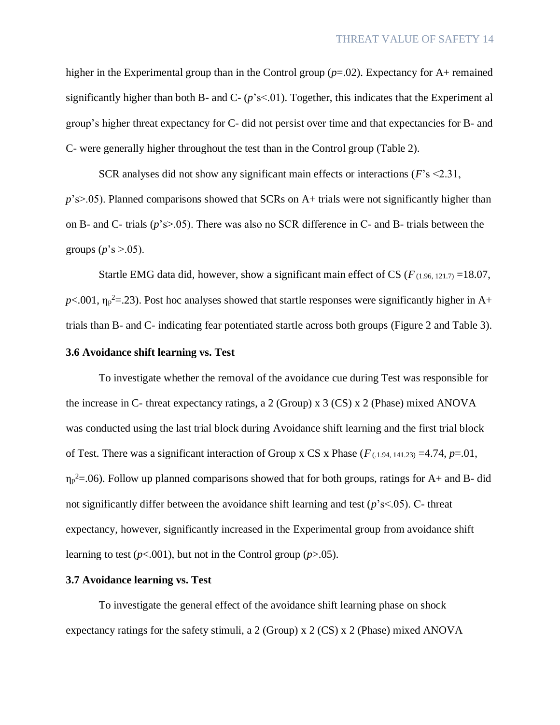higher in the Experimental group than in the Control group ( $p=0.02$ ). Expectancy for A+ remained significantly higher than both B- and C-  $(p's<01)$ . Together, this indicates that the Experiment al group's higher threat expectancy for C- did not persist over time and that expectancies for B- and C- were generally higher throughout the test than in the Control group (Table 2).

SCR analyses did not show any significant main effects or interactions (*F*'s <2.31, *p*'s>.05). Planned comparisons showed that SCRs on A+ trials were not significantly higher than on B- and C- trials (*p*'s>.05). There was also no SCR difference in C- and B- trials between the groups  $(p's > 0.05)$ .

Startle EMG data did, however, show a significant main effect of CS ( $F_{(1.96, 121, 7)} = 18.07$ ,  $p$ <.001,  $\eta_p^2$ =.23). Post hoc analyses showed that startle responses were significantly higher in A+ trials than B- and C- indicating fear potentiated startle across both groups (Figure 2 and Table 3).

# **3.6 Avoidance shift learning vs. Test**

To investigate whether the removal of the avoidance cue during Test was responsible for the increase in C- threat expectancy ratings, a 2 (Group) x 3 (CS) x 2 (Phase) mixed ANOVA was conducted using the last trial block during Avoidance shift learning and the first trial block of Test. There was a significant interaction of Group x CS x Phase  $(F_{(1.194, 141.23)} = 4.74, p=0.01$ ,  $\eta_p^2 = 0.06$ ). Follow up planned comparisons showed that for both groups, ratings for A+ and B- did not significantly differ between the avoidance shift learning and test (*p*'s<.05). C- threat expectancy, however, significantly increased in the Experimental group from avoidance shift learning to test  $(p<.001)$ , but not in the Control group  $(p>.05)$ .

#### **3.7 Avoidance learning vs. Test**

To investigate the general effect of the avoidance shift learning phase on shock expectancy ratings for the safety stimuli, a 2 (Group) x 2 (CS) x 2 (Phase) mixed ANOVA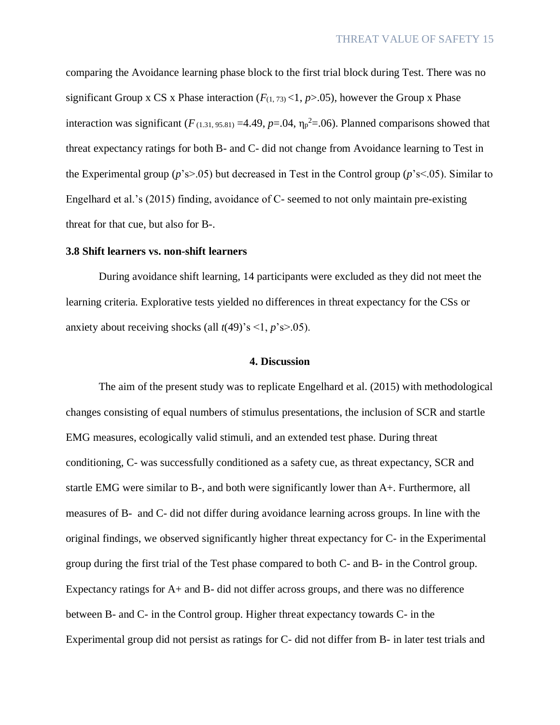comparing the Avoidance learning phase block to the first trial block during Test. There was no significant Group x CS x Phase interaction  $(F_{(1, 73)} < 1, p > .05)$ , however the Group x Phase interaction was significant  $(F_{(1,31, 95.81)} = 4.49, p = .04, \eta_p^2 = .06)$ . Planned comparisons showed that threat expectancy ratings for both B- and C- did not change from Avoidance learning to Test in the Experimental group (*p*'s>.05) but decreased in Test in the Control group (*p*'s<.05). Similar to Engelhard et al.'s (2015) finding, avoidance of C- seemed to not only maintain pre-existing threat for that cue, but also for B-.

## **3.8 Shift learners vs. non-shift learners**

During avoidance shift learning, 14 participants were excluded as they did not meet the learning criteria. Explorative tests yielded no differences in threat expectancy for the CSs or anxiety about receiving shocks (all  $t(49)$ 's <1,  $p$ 's>.05).

#### **4. Discussion**

The aim of the present study was to replicate Engelhard et al. (2015) with methodological changes consisting of equal numbers of stimulus presentations, the inclusion of SCR and startle EMG measures, ecologically valid stimuli, and an extended test phase. During threat conditioning, C- was successfully conditioned as a safety cue, as threat expectancy, SCR and startle EMG were similar to B-, and both were significantly lower than A+. Furthermore, all measures of B- and C- did not differ during avoidance learning across groups. In line with the original findings, we observed significantly higher threat expectancy for C- in the Experimental group during the first trial of the Test phase compared to both C- and B- in the Control group. Expectancy ratings for A+ and B- did not differ across groups, and there was no difference between B- and C- in the Control group. Higher threat expectancy towards C- in the Experimental group did not persist as ratings for C- did not differ from B- in later test trials and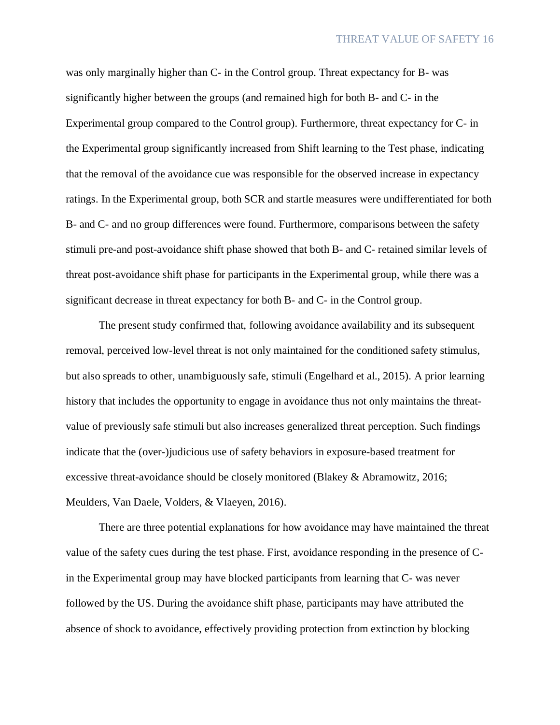was only marginally higher than C- in the Control group. Threat expectancy for B- was significantly higher between the groups (and remained high for both B- and C- in the Experimental group compared to the Control group). Furthermore, threat expectancy for C- in the Experimental group significantly increased from Shift learning to the Test phase, indicating that the removal of the avoidance cue was responsible for the observed increase in expectancy ratings. In the Experimental group, both SCR and startle measures were undifferentiated for both B- and C- and no group differences were found. Furthermore, comparisons between the safety stimuli pre-and post-avoidance shift phase showed that both B- and C- retained similar levels of threat post-avoidance shift phase for participants in the Experimental group, while there was a significant decrease in threat expectancy for both B- and C- in the Control group.

The present study confirmed that, following avoidance availability and its subsequent removal, perceived low-level threat is not only maintained for the conditioned safety stimulus, but also spreads to other, unambiguously safe, stimuli (Engelhard et al., 2015). A prior learning history that includes the opportunity to engage in avoidance thus not only maintains the threatvalue of previously safe stimuli but also increases generalized threat perception. Such findings indicate that the (over-)judicious use of safety behaviors in exposure-based treatment for excessive threat-avoidance should be closely monitored (Blakey & Abramowitz, 2016; Meulders, Van Daele, Volders, & Vlaeyen, 2016).

There are three potential explanations for how avoidance may have maintained the threat value of the safety cues during the test phase. First, avoidance responding in the presence of Cin the Experimental group may have blocked participants from learning that C- was never followed by the US. During the avoidance shift phase, participants may have attributed the absence of shock to avoidance, effectively providing protection from extinction by blocking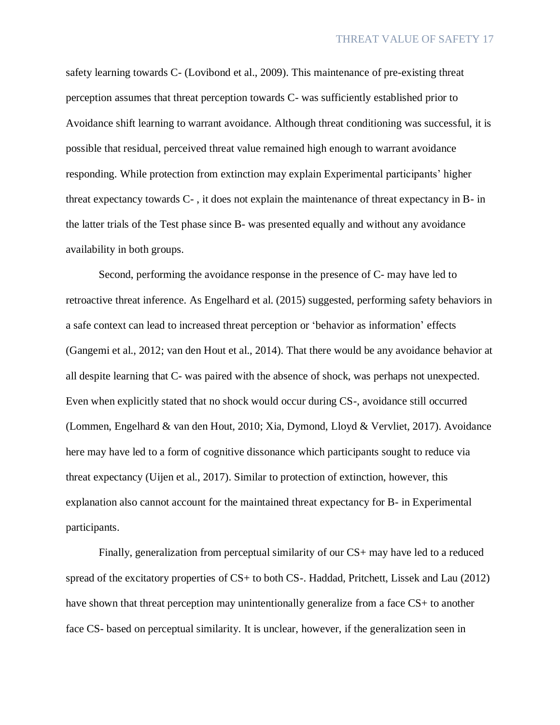safety learning towards C- (Lovibond et al., 2009). This maintenance of pre-existing threat perception assumes that threat perception towards C- was sufficiently established prior to Avoidance shift learning to warrant avoidance. Although threat conditioning was successful, it is possible that residual, perceived threat value remained high enough to warrant avoidance responding. While protection from extinction may explain Experimental participants' higher threat expectancy towards C- , it does not explain the maintenance of threat expectancy in B- in the latter trials of the Test phase since B- was presented equally and without any avoidance availability in both groups.

Second, performing the avoidance response in the presence of C- may have led to retroactive threat inference. As Engelhard et al. (2015) suggested, performing safety behaviors in a safe context can lead to increased threat perception or 'behavior as information' effects (Gangemi et al., 2012; van den Hout et al., 2014). That there would be any avoidance behavior at all despite learning that C- was paired with the absence of shock, was perhaps not unexpected. Even when explicitly stated that no shock would occur during CS-, avoidance still occurred (Lommen, Engelhard & van den Hout, 2010; Xia, Dymond, Lloyd & Vervliet, 2017). Avoidance here may have led to a form of cognitive dissonance which participants sought to reduce via threat expectancy (Uijen et al., 2017). Similar to protection of extinction, however, this explanation also cannot account for the maintained threat expectancy for B- in Experimental participants.

Finally, generalization from perceptual similarity of our CS+ may have led to a reduced spread of the excitatory properties of CS+ to both CS-. Haddad, Pritchett, Lissek and Lau (2012) have shown that threat perception may unintentionally generalize from a face CS+ to another face CS- based on perceptual similarity. It is unclear, however, if the generalization seen in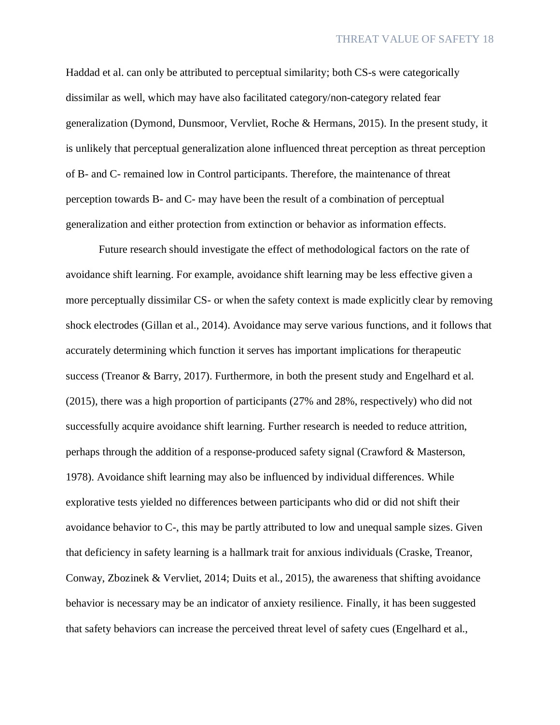Haddad et al. can only be attributed to perceptual similarity; both CS-s were categorically dissimilar as well, which may have also facilitated category/non-category related fear generalization (Dymond, Dunsmoor, Vervliet, Roche & Hermans, 2015). In the present study, it is unlikely that perceptual generalization alone influenced threat perception as threat perception of B- and C- remained low in Control participants. Therefore, the maintenance of threat perception towards B- and C- may have been the result of a combination of perceptual generalization and either protection from extinction or behavior as information effects.

Future research should investigate the effect of methodological factors on the rate of avoidance shift learning. For example, avoidance shift learning may be less effective given a more perceptually dissimilar CS- or when the safety context is made explicitly clear by removing shock electrodes (Gillan et al., 2014). Avoidance may serve various functions, and it follows that accurately determining which function it serves has important implications for therapeutic success (Treanor & Barry, 2017). Furthermore, in both the present study and Engelhard et al. (2015), there was a high proportion of participants (27% and 28%, respectively) who did not successfully acquire avoidance shift learning. Further research is needed to reduce attrition, perhaps through the addition of a response-produced safety signal (Crawford & Masterson, 1978). Avoidance shift learning may also be influenced by individual differences. While explorative tests yielded no differences between participants who did or did not shift their avoidance behavior to C-, this may be partly attributed to low and unequal sample sizes. Given that deficiency in safety learning is a hallmark trait for anxious individuals (Craske, Treanor, Conway, Zbozinek & Vervliet, 2014; Duits et al., 2015), the awareness that shifting avoidance behavior is necessary may be an indicator of anxiety resilience. Finally, it has been suggested that safety behaviors can increase the perceived threat level of safety cues (Engelhard et al.,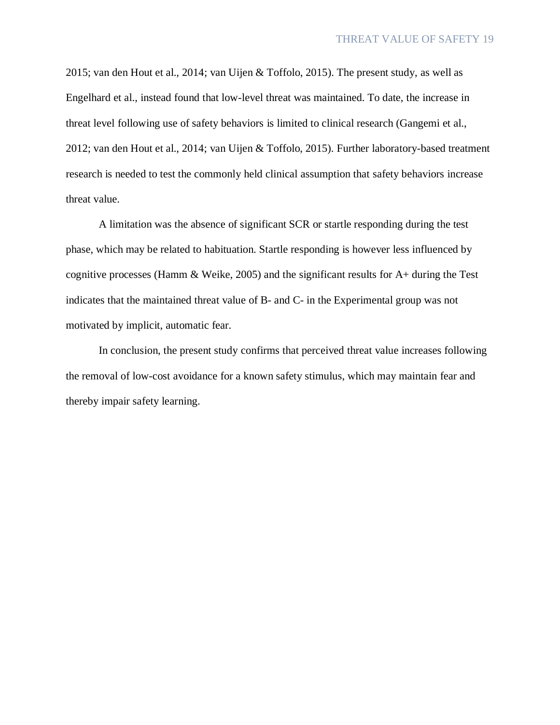2015; van den Hout et al., 2014; van Uijen & Toffolo, 2015). The present study, as well as Engelhard et al., instead found that low-level threat was maintained. To date, the increase in threat level following use of safety behaviors is limited to clinical research (Gangemi et al., 2012; van den Hout et al., 2014; van Uijen & Toffolo, 2015). Further laboratory-based treatment research is needed to test the commonly held clinical assumption that safety behaviors increase threat value.

A limitation was the absence of significant SCR or startle responding during the test phase, which may be related to habituation. Startle responding is however less influenced by cognitive processes (Hamm & Weike, 2005) and the significant results for A+ during the Test indicates that the maintained threat value of B- and C- in the Experimental group was not motivated by implicit, automatic fear.

In conclusion, the present study confirms that perceived threat value increases following the removal of low-cost avoidance for a known safety stimulus, which may maintain fear and thereby impair safety learning.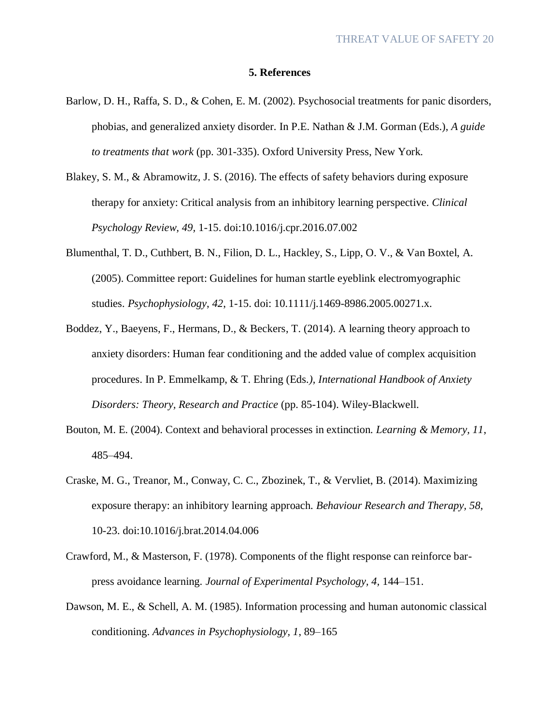#### **5. References**

- Barlow, D. H., Raffa, S. D., & Cohen, E. M. (2002). Psychosocial treatments for panic disorders, phobias, and generalized anxiety disorder. In P.E. Nathan & J.M. Gorman (Eds.), *A guide to treatments that work* (pp. 301-335). Oxford University Press, New York.
- Blakey, S. M., & Abramowitz, J. S. (2016). The effects of safety behaviors during exposure therapy for anxiety: Critical analysis from an inhibitory learning perspective. *Clinical Psychology Review, 49,* 1-15. doi:10.1016/j.cpr.2016.07.002
- Blumenthal, T. D., Cuthbert, B. N., Filion, D. L., Hackley, S., Lipp, O. V., & Van Boxtel, A. (2005). Committee report: Guidelines for human startle eyeblink electromyographic studies. *Psychophysiology*, *42*, 1-15. doi: 10.1111/j.1469-8986.2005.00271.x.
- Boddez, Y., Baeyens, F., Hermans, D., & Beckers, T. (2014). A learning theory approach to anxiety disorders: Human fear conditioning and the added value of complex acquisition procedures. In P. Emmelkamp, & T. Ehring (Eds*.), International Handbook of Anxiety Disorders: Theory, Research and Practice* (pp. 85-104). Wiley-Blackwell.
- Bouton, M. E. (2004). Context and behavioral processes in extinction. *Learning & Memory, 11*, 485–494.
- Craske, M. G., Treanor, M., Conway, C. C., Zbozinek, T., & Vervliet, B. (2014). Maximizing exposure therapy: an inhibitory learning approach. *Behaviour Research and Therapy, 58*, 10-23. doi:10.1016/j.brat.2014.04.006
- Crawford, M., & Masterson, F. (1978). Components of the flight response can reinforce barpress avoidance learning. *Journal of Experimental Psychology, 4,* 144–151.
- Dawson, M. E., & Schell, A. M. (1985). Information processing and human autonomic classical conditioning. *Advances in Psychophysiology, 1*, 89–165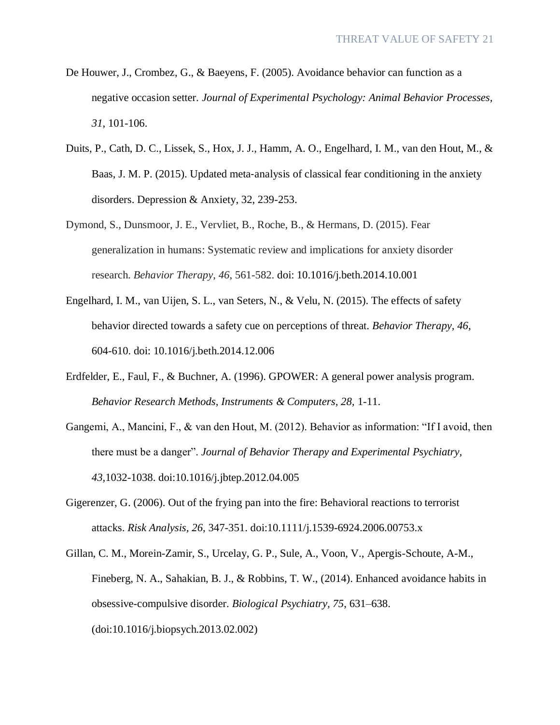- De Houwer, J., Crombez, G., & Baeyens, F. (2005). Avoidance behavior can function as a negative occasion setter. *Journal of Experimental Psychology: Animal Behavior Processes, 31*, 101-106.
- Duits, P., Cath, D. C., Lissek, S., Hox, J. J., Hamm, A. O., Engelhard, I. M., van den Hout, M., & Baas, J. M. P. (2015). Updated meta-analysis of classical fear conditioning in the anxiety disorders. Depression & Anxiety, 32, 239-253.
- Dymond, S., Dunsmoor, J. E., Vervliet, B., Roche, B., & Hermans, D. (2015). Fear generalization in humans: Systematic review and implications for anxiety disorder research. *Behavior Therapy*, *46*, 561-582. doi: 10.1016/j.beth.2014.10.001
- Engelhard, I. M., van Uijen, S. L., van Seters, N., & Velu, N. (2015). The effects of safety behavior directed towards a safety cue on perceptions of threat. *Behavior Therapy, 46,* 604-610. doi: 10.1016/j.beth.2014.12.006
- Erdfelder, E., Faul, F., & Buchner, A. (1996). GPOWER: A general power analysis program. *Behavior Research Methods, Instruments & Computers, 28,* 1-11.
- Gangemi, A., Mancini, F., & van den Hout, M. (2012). Behavior as information: "If I avoid, then there must be a danger". *Journal of Behavior Therapy and Experimental Psychiatry, 43,*1032-1038. doi:10.1016/j.jbtep.2012.04.005
- Gigerenzer, G. (2006). Out of the frying pan into the fire: Behavioral reactions to terrorist attacks. *Risk Analysis, 26*, 347-351. doi:10.1111/j.1539-6924.2006.00753.x
- Gillan, C. M., Morein-Zamir, S., Urcelay, G. P., Sule, A., Voon, V., Apergis-Schoute, A-M., Fineberg, N. A., Sahakian, B. J., & Robbins, T. W., (2014). Enhanced avoidance habits in obsessive-compulsive disorder. *Biological Psychiatry, 75*, 631–638. (doi:10.1016/j.biopsych.2013.02.002)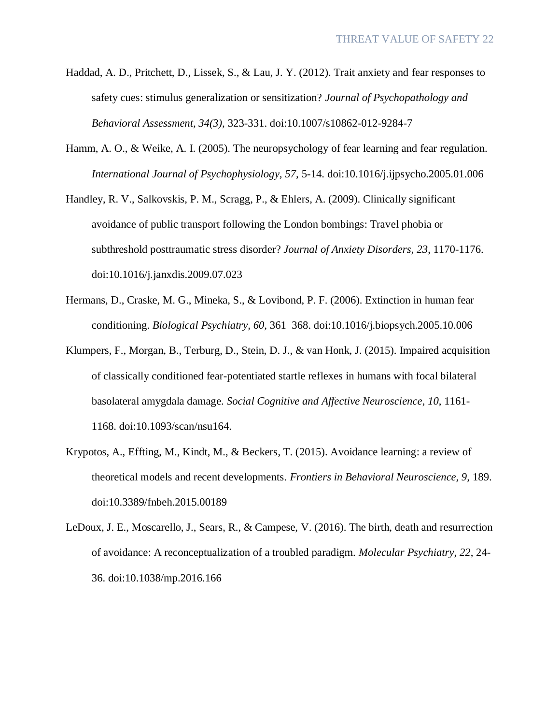- Haddad, A. D., Pritchett, D., Lissek, S., & Lau, J. Y. (2012). Trait anxiety and fear responses to safety cues: stimulus generalization or sensitization? *Journal of Psychopathology and Behavioral Assessment, 34(3),* 323-331. doi:10.1007/s10862-012-9284-7
- Hamm, A. O., & Weike, A. I. (2005). The neuropsychology of fear learning and fear regulation. *International Journal of Psychophysiology, 57,* 5-14. doi:10.1016/j.ijpsycho.2005.01.006
- Handley, R. V., Salkovskis, P. M., Scragg, P., & Ehlers, A. (2009). Clinically significant avoidance of public transport following the London bombings: Travel phobia or subthreshold posttraumatic stress disorder? *Journal of Anxiety Disorders, 23*, 1170-1176. doi:10.1016/j.janxdis.2009.07.023
- Hermans, D., Craske, M. G., Mineka, S., & Lovibond, P. F. (2006). Extinction in human fear conditioning. *Biological Psychiatry, 60,* 361–368. doi:10.1016/j.biopsych.2005.10.006
- Klumpers, F., Morgan, B., Terburg, D., Stein, D. J., & van Honk, J. (2015). Impaired acquisition of classically conditioned fear-potentiated startle reflexes in humans with focal bilateral basolateral amygdala damage. *Social Cognitive and Affective Neuroscience*, *10*, 1161- 1168. doi:10.1093/scan/nsu164.
- Krypotos, A., Effting, M., Kindt, M., & Beckers, T. (2015). Avoidance learning: a review of theoretical models and recent developments. *Frontiers in Behavioral Neuroscience, 9,* 189. doi:10.3389/fnbeh.2015.00189
- LeDoux, J. E., Moscarello, J., Sears, R., & Campese, V. (2016). The birth, death and resurrection of avoidance: A reconceptualization of a troubled paradigm. *Molecular Psychiatry*, *22*, 24- 36. doi:10.1038/mp.2016.166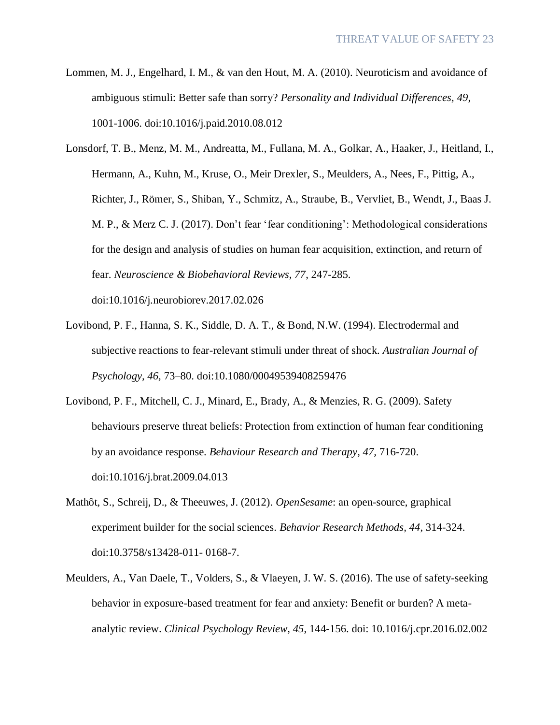- Lommen, M. J., Engelhard, I. M., & van den Hout, M. A. (2010). Neuroticism and avoidance of ambiguous stimuli: Better safe than sorry? *Personality and Individual Differences, 49*, 1001-1006. doi:10.1016/j.paid.2010.08.012
- Lonsdorf, T. B., Menz, M. M., Andreatta, M., Fullana, M. A., Golkar, A., Haaker, J., Heitland, I., Hermann, A., Kuhn, M., Kruse, O., Meir Drexler, S., Meulders, A., Nees, F., Pittig, A., Richter, J., Römer, S., Shiban, Y., Schmitz, A., Straube, B., Vervliet, B., Wendt, J., Baas J. M. P., & Merz C. J. (2017). Don't fear 'fear conditioning': Methodological considerations for the design and analysis of studies on human fear acquisition, extinction, and return of fear. *Neuroscience & Biobehavioral Reviews, 77*, 247-285.

doi:10.1016/j.neurobiorev.2017.02.026

- Lovibond, P. F., Hanna, S. K., Siddle, D. A. T., & Bond, N.W. (1994). Electrodermal and subjective reactions to fear-relevant stimuli under threat of shock. *Australian Journal of Psychology, 46,* 73–80. doi:10.1080/00049539408259476
- Lovibond, P. F., Mitchell, C. J., Minard, E., Brady, A., & Menzies, R. G. (2009). Safety behaviours preserve threat beliefs: Protection from extinction of human fear conditioning by an avoidance response. *Behaviour Research and Therapy*, *47,* 716-720. doi:10.1016/j.brat.2009.04.013
- Mathôt, S., Schreij, D., & Theeuwes, J. (2012). *OpenSesame*: an open-source, graphical experiment builder for the social sciences. *Behavior Research Methods, 44*, 314-324. doi:10.3758/s13428-011- 0168-7.
- Meulders, A., Van Daele, T., Volders, S., & Vlaeyen, J. W. S. (2016). The use of safety-seeking behavior in exposure-based treatment for fear and anxiety: Benefit or burden? A metaanalytic review. *Clinical Psychology Review, 45*, 144-156. doi: 10.1016/j.cpr.2016.02.002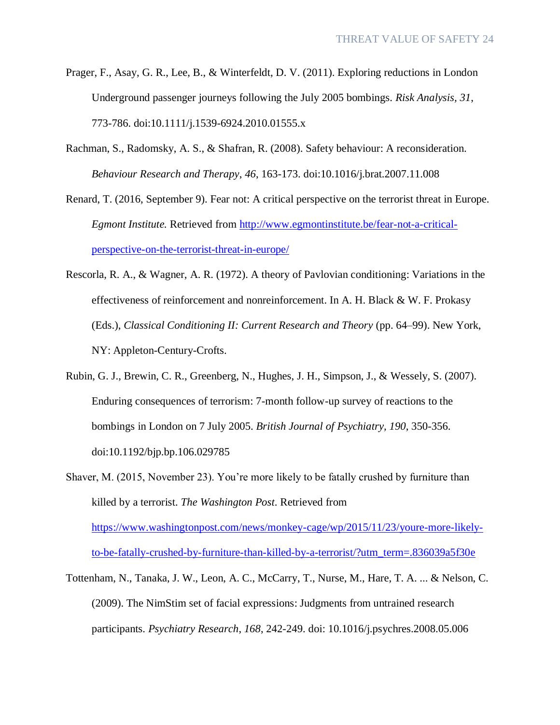- Prager, F., Asay, G. R., Lee, B., & Winterfeldt, D. V. (2011). Exploring reductions in London Underground passenger journeys following the July 2005 bombings. *Risk Analysis, 31*, 773-786. doi:10.1111/j.1539-6924.2010.01555.x
- Rachman, S., Radomsky, A. S., & Shafran, R. (2008). Safety behaviour: A reconsideration. *Behaviour Research and Therapy*, *46*, 163-173. doi:10.1016/j.brat.2007.11.008
- Renard, T. (2016, September 9). Fear not: A critical perspective on the terrorist threat in Europe. *Egmont Institute.* Retrieved from http://www.egmontinstitute.be/fear-not-a-criticalperspective-on-the-terrorist-threat-in-europe/
- Rescorla, R. A., & Wagner, A. R. (1972). A theory of Pavlovian conditioning: Variations in the effectiveness of reinforcement and nonreinforcement. In A. H. Black & W. F. Prokasy (Eds.), *Classical Conditioning II: Current Research and Theory* (pp. 64–99). New York, NY: Appleton-Century-Crofts.
- Rubin, G. J., Brewin, C. R., Greenberg, N., Hughes, J. H., Simpson, J., & Wessely, S. (2007). Enduring consequences of terrorism: 7-month follow-up survey of reactions to the bombings in London on 7 July 2005. *British Journal of Psychiatry, 190*, 350-356. doi:10.1192/bjp.bp.106.029785
- Shaver, M. (2015, November 23). You're more likely to be fatally crushed by furniture than killed by a terrorist. *The Washington Post*. Retrieved from https://www.washingtonpost.com/news/monkey-cage/wp/2015/11/23/youre-more-likelyto-be-fatally-crushed-by-furniture-than-killed-by-a-terrorist/?utm\_term=.836039a5f30e
- Tottenham, N., Tanaka, J. W., Leon, A. C., McCarry, T., Nurse, M., Hare, T. A. ... & Nelson, C. (2009). The NimStim set of facial expressions: Judgments from untrained research participants. *Psychiatry Research*, *168*, 242-249. doi: 10.1016/j.psychres.2008.05.006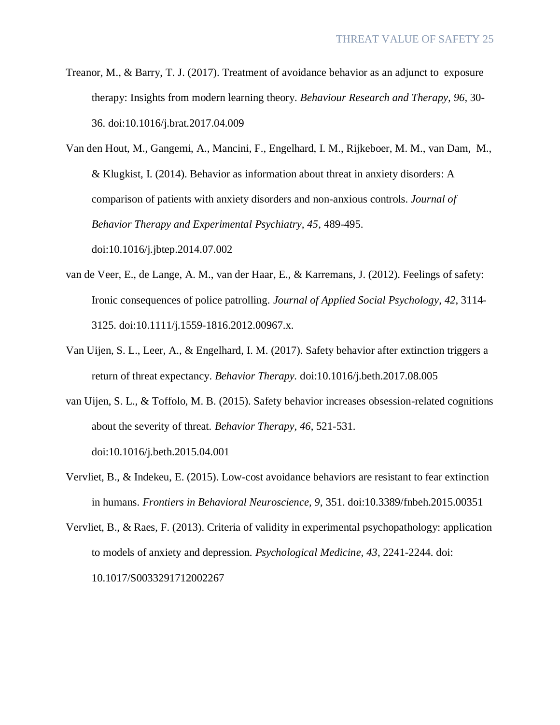Treanor, M., & Barry, T. J. (2017). Treatment of avoidance behavior as an adjunct to exposure therapy: Insights from modern learning theory. *Behaviour Research and Therapy, 96,* 30- 36. doi:10.1016/j.brat.2017.04.009

Van den Hout, M., Gangemi, A., Mancini, F., Engelhard, I. M., Rijkeboer, M. M., van Dam, M., & Klugkist, I. (2014). Behavior as information about threat in anxiety disorders: A comparison of patients with anxiety disorders and non-anxious controls. *Journal of Behavior Therapy and Experimental Psychiatry, 45*, 489-495. doi:10.1016/j.jbtep.2014.07.002

- van de Veer, E., de Lange, A. M., van der Haar, E., & Karremans, J. (2012). Feelings of safety: Ironic consequences of police patrolling. *Journal of Applied Social Psychology*, *42*, 3114- 3125. doi:10.1111/j.1559-1816.2012.00967.x.
- Van Uijen, S. L., Leer, A., & Engelhard, I. M. (2017). Safety behavior after extinction triggers a return of threat expectancy. *Behavior Therapy.* doi:10.1016/j.beth.2017.08.005
- van Uijen, S. L., & Toffolo, M. B. (2015). Safety behavior increases obsession-related cognitions about the severity of threat. *Behavior Therapy*, *46*, 521-531. doi:10.1016/j.beth.2015.04.001
- Vervliet, B., & Indekeu, E. (2015). Low-cost avoidance behaviors are resistant to fear extinction in humans. *Frontiers in Behavioral Neuroscience, 9*, 351. doi:10.3389/fnbeh.2015.00351

Vervliet, B., & Raes, F. (2013). Criteria of validity in experimental psychopathology: application to models of anxiety and depression. *Psychological Medicine, 43*, 2241-2244. doi: 10.1017/S0033291712002267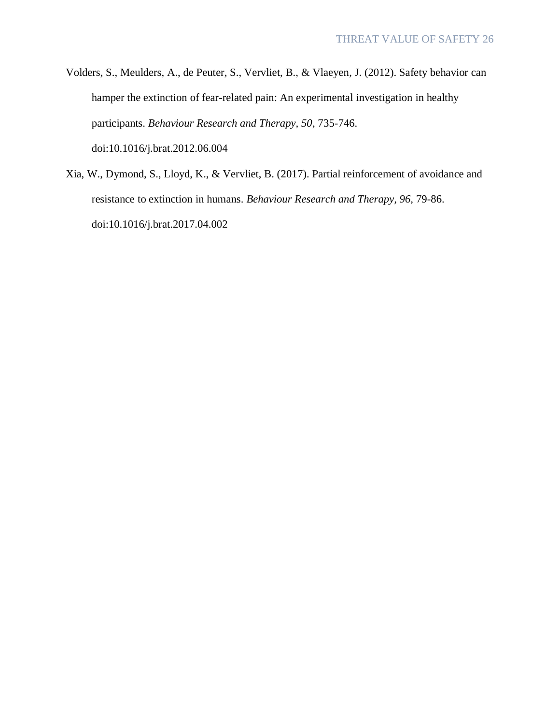- Volders, S., Meulders, A., de Peuter, S., Vervliet, B., & Vlaeyen, J. (2012). Safety behavior can hamper the extinction of fear-related pain: An experimental investigation in healthy participants. *Behaviour Research and Therapy, 50*, 735-746. doi:10.1016/j.brat.2012.06.004
- Xia, W., Dymond, S., Lloyd, K., & Vervliet, B. (2017). Partial reinforcement of avoidance and resistance to extinction in humans. *Behaviour Research and Therapy, 96,* 79-86. doi:10.1016/j.brat.2017.04.002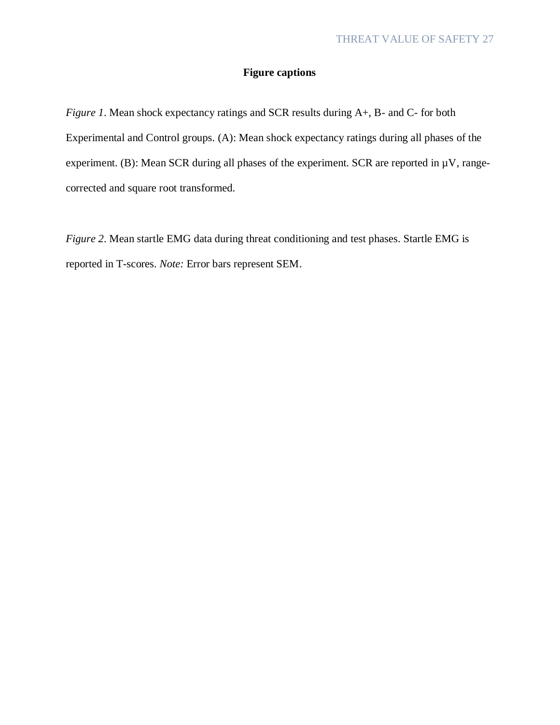# **Figure captions**

*Figure 1*. Mean shock expectancy ratings and SCR results during A+, B- and C- for both Experimental and Control groups. (A): Mean shock expectancy ratings during all phases of the experiment. (B): Mean SCR during all phases of the experiment. SCR are reported in  $\mu$ V, rangecorrected and square root transformed.

*Figure 2*. Mean startle EMG data during threat conditioning and test phases. Startle EMG is reported in T-scores. *Note:* Error bars represent SEM.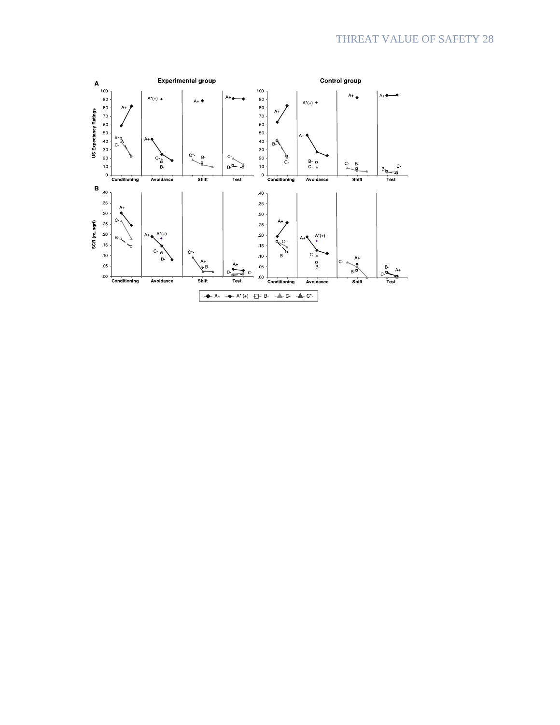